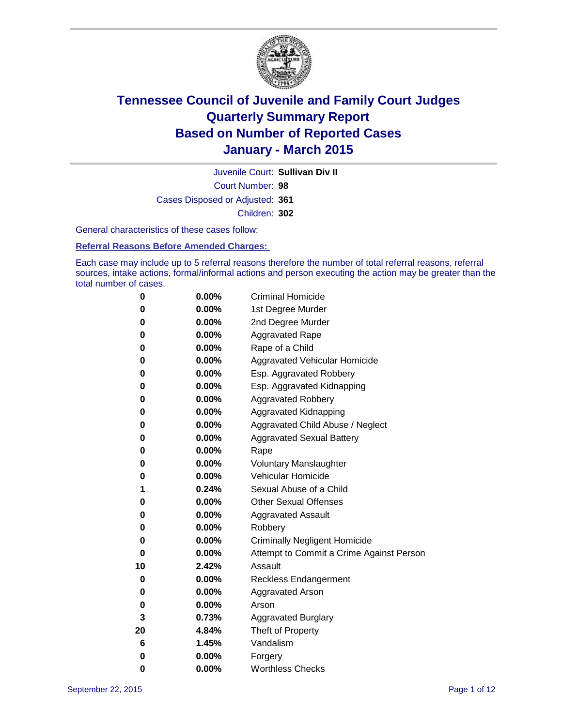

Court Number: **98** Juvenile Court: **Sullivan Div II** Cases Disposed or Adjusted: **361** Children: **302**

General characteristics of these cases follow:

#### **Referral Reasons Before Amended Charges:**

Each case may include up to 5 referral reasons therefore the number of total referral reasons, referral sources, intake actions, formal/informal actions and person executing the action may be greater than the total number of cases.

| 0  | 0.00%    | <b>Criminal Homicide</b>                 |
|----|----------|------------------------------------------|
| 0  | 0.00%    | 1st Degree Murder                        |
| 0  | 0.00%    | 2nd Degree Murder                        |
| 0  | $0.00\%$ | <b>Aggravated Rape</b>                   |
| 0  | 0.00%    | Rape of a Child                          |
| 0  | 0.00%    | Aggravated Vehicular Homicide            |
| 0  | 0.00%    | Esp. Aggravated Robbery                  |
| 0  | 0.00%    | Esp. Aggravated Kidnapping               |
| 0  | 0.00%    | <b>Aggravated Robbery</b>                |
| 0  | 0.00%    | <b>Aggravated Kidnapping</b>             |
| 0  | 0.00%    | Aggravated Child Abuse / Neglect         |
| 0  | 0.00%    | <b>Aggravated Sexual Battery</b>         |
| 0  | 0.00%    | Rape                                     |
| 0  | $0.00\%$ | <b>Voluntary Manslaughter</b>            |
| 0  | 0.00%    | <b>Vehicular Homicide</b>                |
| 1  | 0.24%    | Sexual Abuse of a Child                  |
| 0  | 0.00%    | <b>Other Sexual Offenses</b>             |
| 0  | 0.00%    | <b>Aggravated Assault</b>                |
| 0  | 0.00%    | Robbery                                  |
| 0  | 0.00%    | <b>Criminally Negligent Homicide</b>     |
| 0  | 0.00%    | Attempt to Commit a Crime Against Person |
| 10 | 2.42%    | Assault                                  |
| 0  | 0.00%    | <b>Reckless Endangerment</b>             |
| 0  | $0.00\%$ | <b>Aggravated Arson</b>                  |
| 0  | 0.00%    | Arson                                    |
| 3  | 0.73%    | <b>Aggravated Burglary</b>               |
| 20 | 4.84%    | Theft of Property                        |
| 6  | 1.45%    | Vandalism                                |
| 0  | 0.00%    | Forgery                                  |
| 0  | 0.00%    | <b>Worthless Checks</b>                  |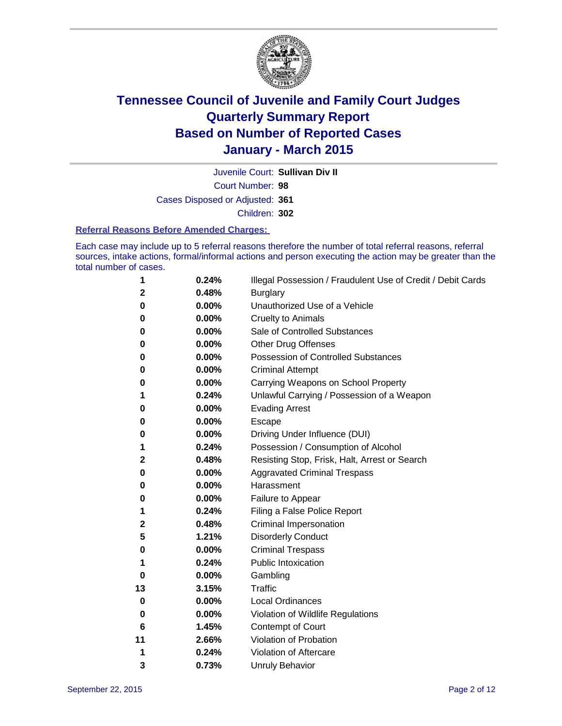

Juvenile Court: **Sullivan Div II**

Court Number: **98**

Cases Disposed or Adjusted: **361**

Children: **302**

#### **Referral Reasons Before Amended Charges:**

Each case may include up to 5 referral reasons therefore the number of total referral reasons, referral sources, intake actions, formal/informal actions and person executing the action may be greater than the total number of cases.

| 1            | 0.24% | Illegal Possession / Fraudulent Use of Credit / Debit Cards |
|--------------|-------|-------------------------------------------------------------|
| 2            | 0.48% | <b>Burglary</b>                                             |
| 0            | 0.00% | Unauthorized Use of a Vehicle                               |
| 0            | 0.00% | <b>Cruelty to Animals</b>                                   |
| 0            | 0.00% | Sale of Controlled Substances                               |
| 0            | 0.00% | <b>Other Drug Offenses</b>                                  |
| 0            | 0.00% | <b>Possession of Controlled Substances</b>                  |
| 0            | 0.00% | <b>Criminal Attempt</b>                                     |
| 0            | 0.00% | Carrying Weapons on School Property                         |
| 1            | 0.24% | Unlawful Carrying / Possession of a Weapon                  |
| 0            | 0.00% | <b>Evading Arrest</b>                                       |
| 0            | 0.00% | Escape                                                      |
| 0            | 0.00% | Driving Under Influence (DUI)                               |
| 1            | 0.24% | Possession / Consumption of Alcohol                         |
| $\mathbf{2}$ | 0.48% | Resisting Stop, Frisk, Halt, Arrest or Search               |
| 0            | 0.00% | <b>Aggravated Criminal Trespass</b>                         |
| 0            | 0.00% | Harassment                                                  |
| 0            | 0.00% | Failure to Appear                                           |
| 1            | 0.24% | Filing a False Police Report                                |
| 2            | 0.48% | Criminal Impersonation                                      |
| 5            | 1.21% | <b>Disorderly Conduct</b>                                   |
| 0            | 0.00% | <b>Criminal Trespass</b>                                    |
| 1            | 0.24% | <b>Public Intoxication</b>                                  |
| 0            | 0.00% | Gambling                                                    |
| 13           | 3.15% | <b>Traffic</b>                                              |
| 0            | 0.00% | <b>Local Ordinances</b>                                     |
| 0            | 0.00% | Violation of Wildlife Regulations                           |
| 6            | 1.45% | Contempt of Court                                           |
| 11           | 2.66% | Violation of Probation                                      |
| 1            | 0.24% | Violation of Aftercare                                      |
| 3            | 0.73% | <b>Unruly Behavior</b>                                      |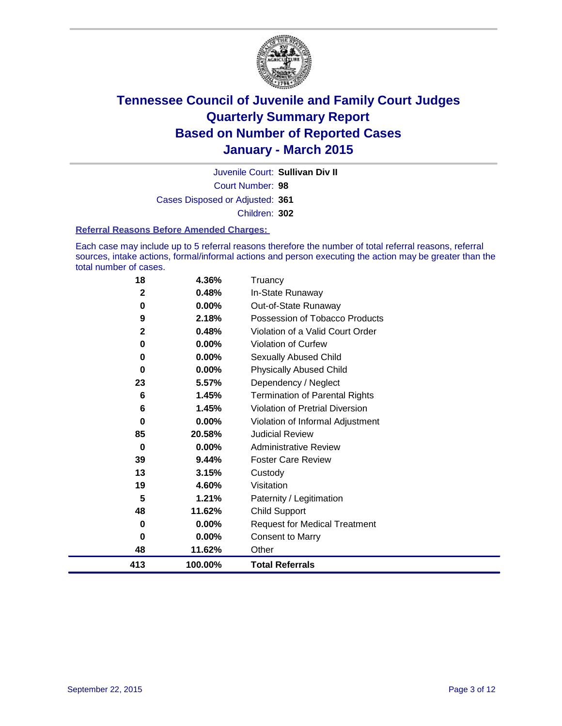

Court Number: **98** Juvenile Court: **Sullivan Div II** Cases Disposed or Adjusted: **361** Children: **302**

#### **Referral Reasons Before Amended Charges:**

Each case may include up to 5 referral reasons therefore the number of total referral reasons, referral sources, intake actions, formal/informal actions and person executing the action may be greater than the total number of cases.

| 18           | 4.36%    | Truancy                               |
|--------------|----------|---------------------------------------|
| $\mathbf{2}$ | 0.48%    | In-State Runaway                      |
| 0            | 0.00%    | Out-of-State Runaway                  |
| 9            | 2.18%    | Possession of Tobacco Products        |
| $\mathbf{2}$ | 0.48%    | Violation of a Valid Court Order      |
| 0            | 0.00%    | <b>Violation of Curfew</b>            |
| 0            | $0.00\%$ | Sexually Abused Child                 |
| 0            | $0.00\%$ | <b>Physically Abused Child</b>        |
| 23           | 5.57%    | Dependency / Neglect                  |
| 6            | 1.45%    | <b>Termination of Parental Rights</b> |
| 6            | 1.45%    | Violation of Pretrial Diversion       |
| 0            | 0.00%    | Violation of Informal Adjustment      |
| 85           | 20.58%   | <b>Judicial Review</b>                |
| 0            | 0.00%    | <b>Administrative Review</b>          |
| 39           | 9.44%    | <b>Foster Care Review</b>             |
| 13           | 3.15%    | Custody                               |
| 19           | 4.60%    | Visitation                            |
| 5            | 1.21%    | Paternity / Legitimation              |
| 48           | 11.62%   | <b>Child Support</b>                  |
| 0            | 0.00%    | <b>Request for Medical Treatment</b>  |
| $\bf{0}$     | 0.00%    | <b>Consent to Marry</b>               |
| 48           | 11.62%   | Other                                 |
| 413          | 100.00%  | <b>Total Referrals</b>                |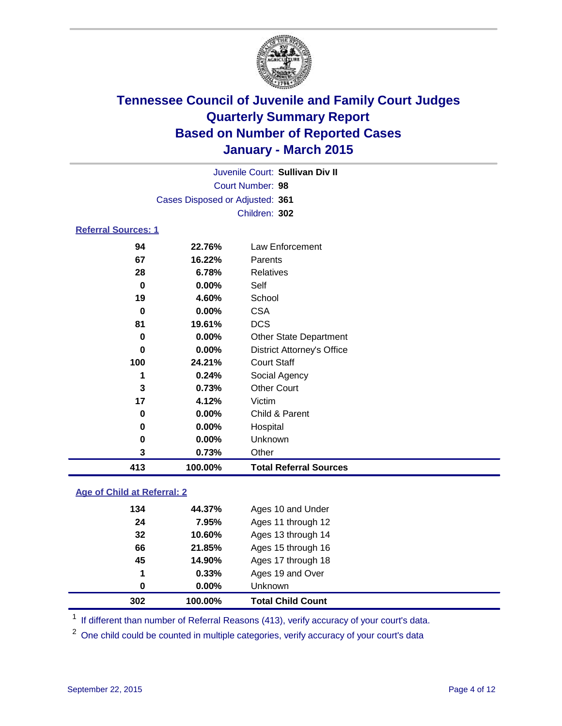

|                                 | Juvenile Court: Sullivan Div II |
|---------------------------------|---------------------------------|
| Court Number: 98                |                                 |
| Cases Disposed or Adjusted: 361 |                                 |
| Children: 302                   |                                 |

### **Referral Sources: 1**

| 413 | 100.00%  | <b>Total Referral Sources</b>     |
|-----|----------|-----------------------------------|
| 3   | 0.73%    | Other                             |
| 0   | $0.00\%$ | Unknown                           |
| 0   | $0.00\%$ | Hospital                          |
| 0   | 0.00%    | Child & Parent                    |
| 17  | 4.12%    | Victim                            |
| 3   | 0.73%    | <b>Other Court</b>                |
|     | 0.24%    | Social Agency                     |
| 100 | 24.21%   | <b>Court Staff</b>                |
| 0   | $0.00\%$ | <b>District Attorney's Office</b> |
| 0   | $0.00\%$ | <b>Other State Department</b>     |
| 81  | 19.61%   | <b>DCS</b>                        |
| 0   | $0.00\%$ | <b>CSA</b>                        |
| 19  | 4.60%    | School                            |
| 0   | $0.00\%$ | Self                              |
| 28  | 6.78%    | Relatives                         |
| 67  | 16.22%   | Parents                           |
| 94  | 22.76%   | Law Enforcement                   |

### **Age of Child at Referral: 2**

| 302 | 100.00%  | <b>Total Child Count</b> |
|-----|----------|--------------------------|
| 0   | $0.00\%$ | <b>Unknown</b>           |
| 1   | 0.33%    | Ages 19 and Over         |
| 45  | 14.90%   | Ages 17 through 18       |
| 66  | 21.85%   | Ages 15 through 16       |
| 32  | 10.60%   | Ages 13 through 14       |
| 24  | 7.95%    | Ages 11 through 12       |
| 134 | 44.37%   | Ages 10 and Under        |

<sup>1</sup> If different than number of Referral Reasons (413), verify accuracy of your court's data.

One child could be counted in multiple categories, verify accuracy of your court's data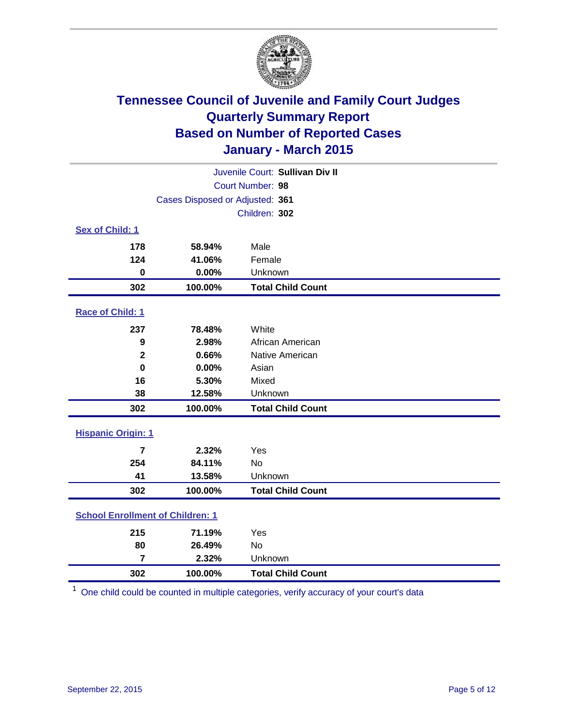

| Juvenile Court: Sullivan Div II         |                                 |                          |  |
|-----------------------------------------|---------------------------------|--------------------------|--|
|                                         |                                 | Court Number: 98         |  |
|                                         | Cases Disposed or Adjusted: 361 |                          |  |
|                                         |                                 | Children: 302            |  |
| Sex of Child: 1                         |                                 |                          |  |
| 178                                     | 58.94%                          | Male                     |  |
| 124                                     | 41.06%                          | Female                   |  |
| $\bf{0}$                                | 0.00%                           | Unknown                  |  |
| 302                                     | 100.00%                         | <b>Total Child Count</b> |  |
| Race of Child: 1                        |                                 |                          |  |
| 237                                     | 78.48%                          | White                    |  |
| 9                                       | 2.98%                           | African American         |  |
| $\mathbf{2}$                            | 0.66%                           | Native American          |  |
| $\bf{0}$                                | 0.00%                           | Asian                    |  |
| 16                                      | 5.30%                           | Mixed                    |  |
| 38                                      | 12.58%                          | Unknown                  |  |
| 302                                     | 100.00%                         | <b>Total Child Count</b> |  |
| <b>Hispanic Origin: 1</b>               |                                 |                          |  |
| $\overline{7}$                          | 2.32%                           | Yes                      |  |
| 254                                     | 84.11%                          | <b>No</b>                |  |
| 41                                      | 13.58%                          | Unknown                  |  |
| 302                                     | 100.00%                         | <b>Total Child Count</b> |  |
| <b>School Enrollment of Children: 1</b> |                                 |                          |  |
| 215                                     | 71.19%                          | Yes                      |  |
| 80                                      | 26.49%                          | <b>No</b>                |  |
| $\overline{7}$                          | 2.32%                           | Unknown                  |  |
| 302                                     | 100.00%                         | <b>Total Child Count</b> |  |

One child could be counted in multiple categories, verify accuracy of your court's data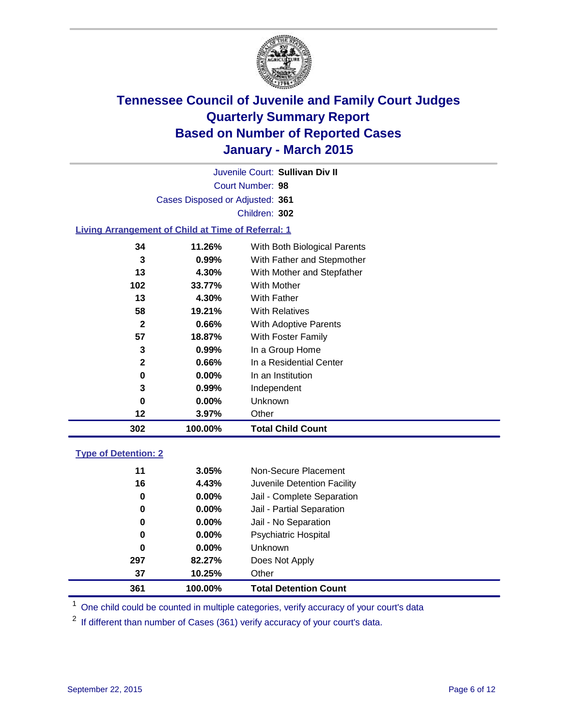

Court Number: **98** Juvenile Court: **Sullivan Div II** Cases Disposed or Adjusted: **361** Children: **302**

### **Living Arrangement of Child at Time of Referral: 1**

| 302          | 100.00%  | <b>Total Child Count</b>     |
|--------------|----------|------------------------------|
| 12           | 3.97%    | Other                        |
| 0            | $0.00\%$ | Unknown                      |
| 3            | $0.99\%$ | Independent                  |
| 0            | $0.00\%$ | In an Institution            |
| $\mathbf{2}$ | $0.66\%$ | In a Residential Center      |
| 3            | 0.99%    | In a Group Home              |
| 57           | 18.87%   | With Foster Family           |
| $\mathbf{2}$ | 0.66%    | With Adoptive Parents        |
| 58           | 19.21%   | <b>With Relatives</b>        |
| 13           | 4.30%    | With Father                  |
| 102          | 33.77%   | With Mother                  |
| 13           | 4.30%    | With Mother and Stepfather   |
| 3            | $0.99\%$ | With Father and Stepmother   |
| 34           | 11.26%   | With Both Biological Parents |
|              |          |                              |

### **Type of Detention: 2**

| 37<br>361 | 10.25%<br>100.00% | Other<br><b>Total Detention Count</b> |
|-----------|-------------------|---------------------------------------|
| 297       | 82.27%            | Does Not Apply                        |
| 0         | $0.00\%$          | <b>Unknown</b>                        |
| 0         | $0.00\%$          | Psychiatric Hospital                  |
| 0         | $0.00\%$          | Jail - No Separation                  |
| 0         | $0.00\%$          | Jail - Partial Separation             |
| 0         | $0.00\%$          | Jail - Complete Separation            |
| 16        | 4.43%             | Juvenile Detention Facility           |
| 11        | 3.05%             | Non-Secure Placement                  |

<sup>1</sup> One child could be counted in multiple categories, verify accuracy of your court's data

If different than number of Cases (361) verify accuracy of your court's data.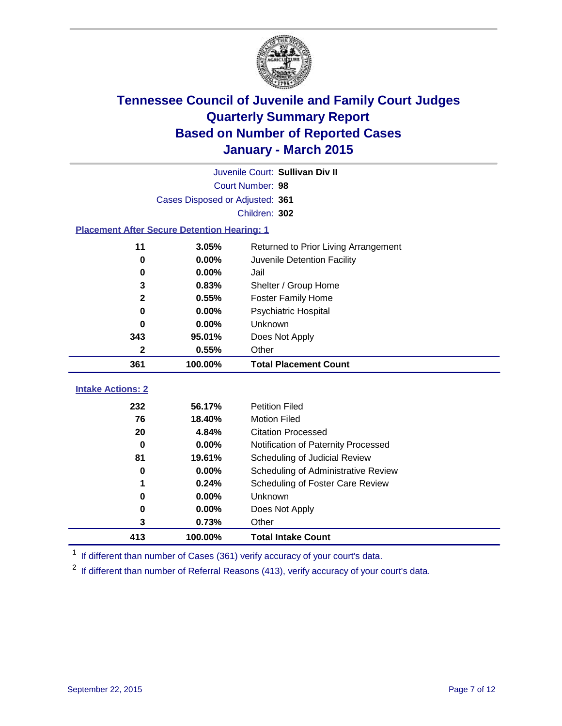

|                                                    | Juvenile Court: Sullivan Div II |                                      |  |  |  |  |
|----------------------------------------------------|---------------------------------|--------------------------------------|--|--|--|--|
|                                                    | Court Number: 98                |                                      |  |  |  |  |
|                                                    | Cases Disposed or Adjusted: 361 |                                      |  |  |  |  |
|                                                    | Children: 302                   |                                      |  |  |  |  |
| <b>Placement After Secure Detention Hearing: 1</b> |                                 |                                      |  |  |  |  |
| 11                                                 | 3.05%                           | Returned to Prior Living Arrangement |  |  |  |  |
| 0                                                  | 0.00%                           | Juvenile Detention Facility          |  |  |  |  |
| 0                                                  | 0.00%                           | Jail                                 |  |  |  |  |
| 3                                                  | 0.83%                           | Shelter / Group Home                 |  |  |  |  |
| $\mathbf{2}$                                       | 0.55%                           | <b>Foster Family Home</b>            |  |  |  |  |
| 0                                                  | 0.00%                           | <b>Psychiatric Hospital</b>          |  |  |  |  |
| 0                                                  | 0.00%                           | Unknown                              |  |  |  |  |
| 343                                                | 95.01%                          | Does Not Apply                       |  |  |  |  |
| $\mathbf{2}$                                       | 0.55%                           | Other                                |  |  |  |  |
| 361                                                | 100.00%                         | <b>Total Placement Count</b>         |  |  |  |  |
| <b>Intake Actions: 2</b>                           |                                 |                                      |  |  |  |  |
|                                                    |                                 |                                      |  |  |  |  |
| 232                                                | 56.17%                          | <b>Petition Filed</b>                |  |  |  |  |
| 76                                                 | 18.40%                          | <b>Motion Filed</b>                  |  |  |  |  |
| 20                                                 | 4.84%                           | <b>Citation Processed</b>            |  |  |  |  |
| $\bf{0}$                                           | 0.00%                           | Notification of Paternity Processed  |  |  |  |  |
| 81                                                 | 19.61%                          | Scheduling of Judicial Review        |  |  |  |  |
| 0                                                  | 0.00%                           | Scheduling of Administrative Review  |  |  |  |  |
| 1                                                  | 0.24%                           | Scheduling of Foster Care Review     |  |  |  |  |
| 0                                                  | 0.00%                           | Unknown                              |  |  |  |  |
| 0                                                  | 0.00%                           | Does Not Apply                       |  |  |  |  |
| 3                                                  | 0.73%                           | Other                                |  |  |  |  |
| 413                                                | 100.00%                         | <b>Total Intake Count</b>            |  |  |  |  |

<sup>1</sup> If different than number of Cases (361) verify accuracy of your court's data.

If different than number of Referral Reasons (413), verify accuracy of your court's data.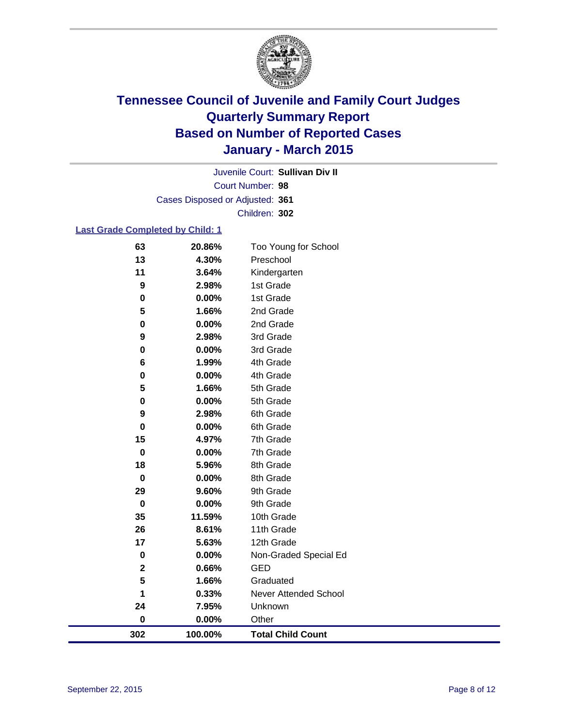

Court Number: **98** Juvenile Court: **Sullivan Div II** Cases Disposed or Adjusted: **361** Children: **302**

### **Last Grade Completed by Child: 1**

| 63          | 20.86%  | Too Young for School     |
|-------------|---------|--------------------------|
| 13          | 4.30%   | Preschool                |
| 11          | 3.64%   | Kindergarten             |
| 9           | 2.98%   | 1st Grade                |
| 0           | 0.00%   | 1st Grade                |
| 5           | 1.66%   | 2nd Grade                |
| $\mathbf 0$ | 0.00%   | 2nd Grade                |
| 9           | 2.98%   | 3rd Grade                |
| 0           | 0.00%   | 3rd Grade                |
| 6           | 1.99%   | 4th Grade                |
| 0           | 0.00%   | 4th Grade                |
| 5           | 1.66%   | 5th Grade                |
| 0           | 0.00%   | 5th Grade                |
| 9           | 2.98%   | 6th Grade                |
| 0           | 0.00%   | 6th Grade                |
| 15          | 4.97%   | 7th Grade                |
| 0           | 0.00%   | 7th Grade                |
| 18          | 5.96%   | 8th Grade                |
| $\mathbf 0$ | 0.00%   | 8th Grade                |
| 29          | 9.60%   | 9th Grade                |
| $\mathbf 0$ | 0.00%   | 9th Grade                |
| 35          | 11.59%  | 10th Grade               |
| 26          | 8.61%   | 11th Grade               |
| 17          | 5.63%   | 12th Grade               |
| $\pmb{0}$   | 0.00%   | Non-Graded Special Ed    |
| $\mathbf 2$ | 0.66%   | <b>GED</b>               |
| 5           | 1.66%   | Graduated                |
| 1           | 0.33%   | Never Attended School    |
| 24          | 7.95%   | Unknown                  |
| $\pmb{0}$   | 0.00%   | Other                    |
| 302         | 100.00% | <b>Total Child Count</b> |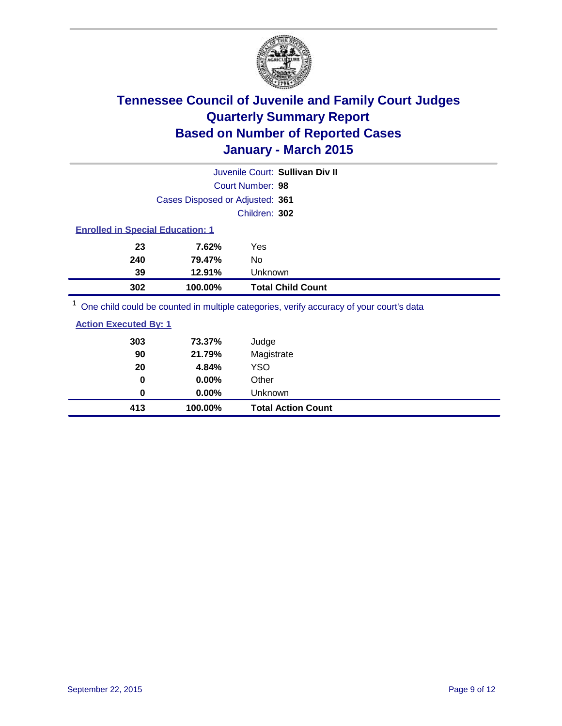

| Juvenile Court: Sullivan Div II                                                         |                                 |                          |  |  |  |
|-----------------------------------------------------------------------------------------|---------------------------------|--------------------------|--|--|--|
| Court Number: 98                                                                        |                                 |                          |  |  |  |
|                                                                                         | Cases Disposed or Adjusted: 361 |                          |  |  |  |
|                                                                                         | Children: 302                   |                          |  |  |  |
| <b>Enrolled in Special Education: 1</b>                                                 |                                 |                          |  |  |  |
| 23                                                                                      | 7.62%                           | Yes                      |  |  |  |
| 240                                                                                     | 79.47%                          | No                       |  |  |  |
| 39                                                                                      | 12.91%                          | Unknown                  |  |  |  |
| 302                                                                                     | 100.00%                         | <b>Total Child Count</b> |  |  |  |
| One child could be counted in multiple categories, verify accuracy of your court's data |                                 |                          |  |  |  |

| 413                          | 100.00% | <b>Total Action Count</b> |  |
|------------------------------|---------|---------------------------|--|
| 0                            | 0.00%   | Unknown                   |  |
| 0                            | 0.00%   | Other                     |  |
| 20                           | 4.84%   | YSO                       |  |
| 90                           | 21.79%  | Magistrate                |  |
| 303                          | 73.37%  | Judge                     |  |
| <b>Action Executed By: 1</b> |         |                           |  |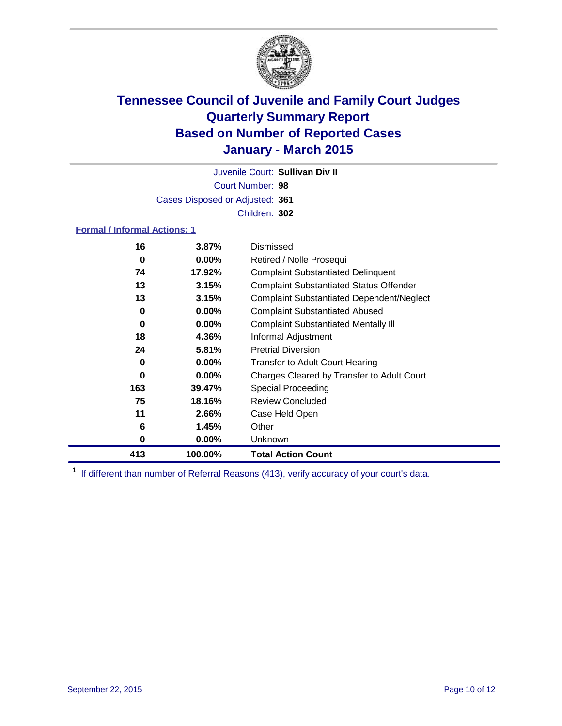

Court Number: **98** Juvenile Court: **Sullivan Div II** Cases Disposed or Adjusted: **361** Children: **302**

### **Formal / Informal Actions: 1**

| 16  | 3.87%    | Dismissed                                        |
|-----|----------|--------------------------------------------------|
| 0   | $0.00\%$ | Retired / Nolle Prosequi                         |
| 74  | 17.92%   | <b>Complaint Substantiated Delinquent</b>        |
| 13  | 3.15%    | <b>Complaint Substantiated Status Offender</b>   |
| 13  | 3.15%    | <b>Complaint Substantiated Dependent/Neglect</b> |
| 0   | $0.00\%$ | <b>Complaint Substantiated Abused</b>            |
| 0   | $0.00\%$ | <b>Complaint Substantiated Mentally III</b>      |
| 18  | 4.36%    | Informal Adjustment                              |
| 24  | 5.81%    | <b>Pretrial Diversion</b>                        |
| 0   | $0.00\%$ | <b>Transfer to Adult Court Hearing</b>           |
| 0   | $0.00\%$ | Charges Cleared by Transfer to Adult Court       |
| 163 | 39.47%   | Special Proceeding                               |
| 75  | 18.16%   | <b>Review Concluded</b>                          |
| 11  | 2.66%    | Case Held Open                                   |
| 6   | 1.45%    | Other                                            |
| 0   | $0.00\%$ | Unknown                                          |
| 413 | 100.00%  | <b>Total Action Count</b>                        |

<sup>1</sup> If different than number of Referral Reasons (413), verify accuracy of your court's data.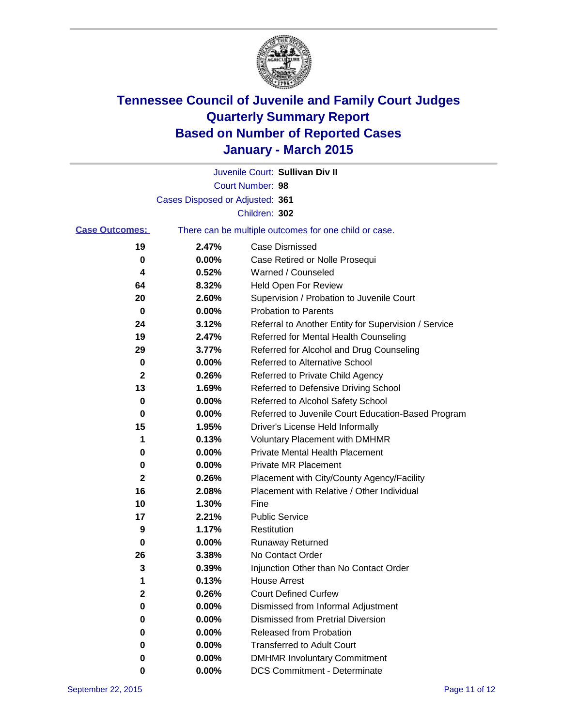

|                       |                                 | Juvenile Court: Sullivan Div II                       |
|-----------------------|---------------------------------|-------------------------------------------------------|
|                       |                                 | Court Number: 98                                      |
|                       | Cases Disposed or Adjusted: 361 |                                                       |
|                       |                                 | Children: 302                                         |
| <b>Case Outcomes:</b> |                                 | There can be multiple outcomes for one child or case. |
| 19                    | 2.47%                           | <b>Case Dismissed</b>                                 |
| 0                     | 0.00%                           | Case Retired or Nolle Prosequi                        |
| 4                     | 0.52%                           | Warned / Counseled                                    |
| 64                    | 8.32%                           | Held Open For Review                                  |
| 20                    | 2.60%                           | Supervision / Probation to Juvenile Court             |
| 0                     | 0.00%                           | <b>Probation to Parents</b>                           |
| 24                    | 3.12%                           | Referral to Another Entity for Supervision / Service  |
| 19                    | 2.47%                           | Referred for Mental Health Counseling                 |
| 29                    | 3.77%                           | Referred for Alcohol and Drug Counseling              |
| 0                     | 0.00%                           | <b>Referred to Alternative School</b>                 |
| 2                     | 0.26%                           | Referred to Private Child Agency                      |
| 13                    | 1.69%                           | Referred to Defensive Driving School                  |
| 0                     | 0.00%                           | Referred to Alcohol Safety School                     |
| 0                     | 0.00%                           | Referred to Juvenile Court Education-Based Program    |
| 15                    | 1.95%                           | Driver's License Held Informally                      |
| 1                     | 0.13%                           | <b>Voluntary Placement with DMHMR</b>                 |
| 0                     | 0.00%                           | <b>Private Mental Health Placement</b>                |
| 0                     | 0.00%                           | Private MR Placement                                  |
| 2                     | 0.26%                           | Placement with City/County Agency/Facility            |
| 16                    | 2.08%                           | Placement with Relative / Other Individual            |
| 10                    | 1.30%                           | Fine                                                  |
| 17                    | 2.21%                           | <b>Public Service</b>                                 |
| 9                     | 1.17%                           | Restitution                                           |
| 0                     | 0.00%                           | <b>Runaway Returned</b>                               |
| 26                    | 3.38%                           | No Contact Order                                      |
| 3                     | 0.39%                           | Injunction Other than No Contact Order                |
| 1                     | 0.13%                           | House Arrest                                          |
| 2                     | 0.26%                           | <b>Court Defined Curfew</b>                           |
| 0                     | 0.00%                           | Dismissed from Informal Adjustment                    |
| 0                     | 0.00%                           | <b>Dismissed from Pretrial Diversion</b>              |
| 0                     | 0.00%                           | Released from Probation                               |
| 0                     | 0.00%                           | <b>Transferred to Adult Court</b>                     |
| 0                     | 0.00%                           | <b>DMHMR Involuntary Commitment</b>                   |
| 0                     | $0.00\%$                        | <b>DCS Commitment - Determinate</b>                   |